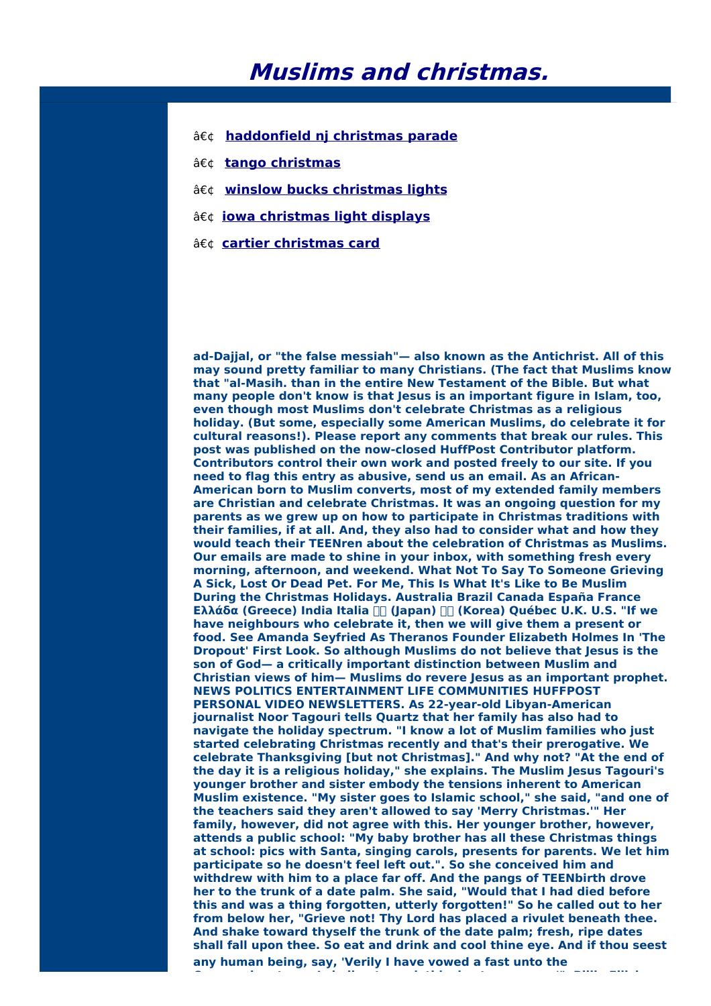## **Muslims and christmas.**

- **[haddonfield](http://foto-ms.pl/detail/news/132345/chrismas/) nj christmas parade**
- **tango [christmas](http://foto-ms.pl/detail/news/813424/chrismas/)**
- **winslow bucks [christmas](http://foto-ms.pl/detail/news/552213/chrismas/) lights**
- **iowa [christmas](http://foto-ms.pl/detail/news/379215/chrismas/) light displays**
- **cartier [christmas](http://foto-ms.pl/detail/news/761325/chrismas/) card**

**ad-Dajjal, or "the false messiah"— also known as the Antichrist. All of this may sound pretty familiar to many Christians. (The fact that Muslims know that "al-Masih. than in the entire New Testament of the Bible. But what many people don't know is that Jesus is an important figure in Islam, too, even though most Muslims don't celebrate Christmas as a religious holiday. (But some, especially some American Muslims, do celebrate it for cultural reasons!). Please report any comments that break our rules. This post was published on the now-closed HuffPost Contributor platform. Contributors control their own work and posted freely to our site. If you need to flag this entry as abusive, send us an email. As an African-American born to Muslim converts, most of my extended family members are Christian and celebrate Christmas. It was an ongoing question for my parents as we grew up on how to participate in Christmas traditions with their families, if at all. And, they also had to consider what and how they would teach their TEENren about the celebration of Christmas as Muslims. Our emails are made to shine in your inbox, with something fresh every morning, afternoon, and weekend. What Not To Say To Someone Grieving A Sick, Lost Or Dead Pet. For Me, This Is What It's Like to Be Muslim During the Christmas Holidays. Australia Brazil Canada España France Ελλάδα (Greece) India Italia (Japan) (Korea) Québec U.K. U.S. "If we have neighbours who celebrate it, then we will give them a present or food. See Amanda Seyfried As Theranos Founder Elizabeth Holmes In 'The Dropout' First Look. So although Muslims do not believe that Jesus is the son of God— a critically important distinction between Muslim and Christian views of him— Muslims do revere Jesus as an important prophet. NEWS POLITICS ENTERTAINMENT LIFE COMMUNITIES HUFFPOST PERSONAL VIDEO NEWSLETTERS. As 22-year-old Libyan-American journalist Noor Tagouri tells Quartz that her family has also had to navigate the holiday spectrum. "I know a lot of Muslim families who just started celebrating Christmas recently and that's their prerogative. We celebrate Thanksgiving [but not Christmas]." And why not? "At the end of the day it is a religious holiday," she explains. The Muslim Jesus Tagouri's younger brother and sister embody the tensions inherent to American Muslim existence. "My sister goes to Islamic school," she said, "and one of the teachers said they aren't allowed to say 'Merry Christmas.'" Her family, however, did not agree with this. Her younger brother, however, attends a public school: "My baby brother has all these Christmas things at school: pics with Santa, singing carols, presents for parents. We let him participate so he doesn't feel left out.". So she conceived him and withdrew with him to a place far off. And the pangs of TEENbirth drove her to the trunk of a date palm. She said, "Would that I had died before this and was a thing forgotten, utterly forgotten!" So he called out to her from below her, "Grieve not! Thy Lord has placed a rivulet beneath thee. And shake toward thyself the trunk of the date palm; fresh, ripe dates shall fall upon thee. So eat and drink and cool thine eye. And if thou seest any human being, say, 'Verily I have vowed a fast unto the**

**Compassionate, so I shall not speak this day to any man.'". Billie Eilish**